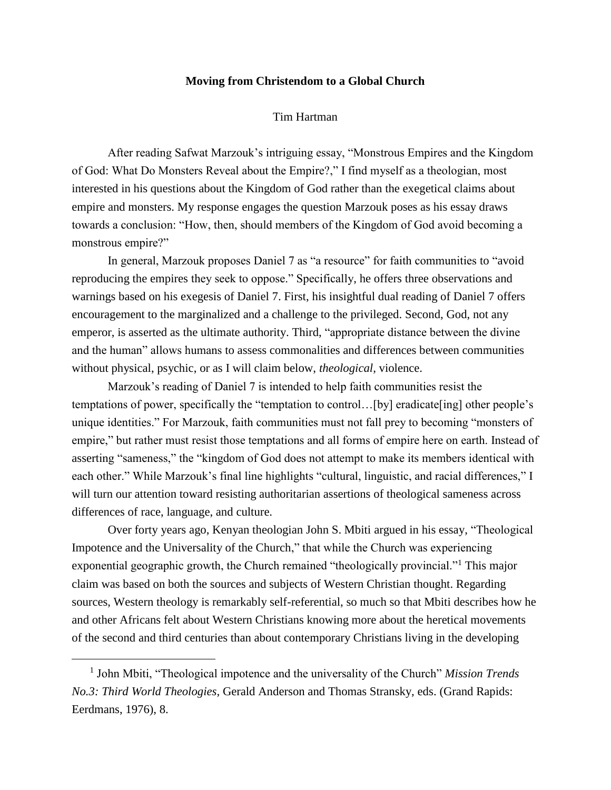## **Moving from Christendom to a Global Church**

## Tim Hartman

After reading Safwat Marzouk's intriguing essay, "Monstrous Empires and the Kingdom of God: What Do Monsters Reveal about the Empire?," I find myself as a theologian, most interested in his questions about the Kingdom of God rather than the exegetical claims about empire and monsters. My response engages the question Marzouk poses as his essay draws towards a conclusion: "How, then, should members of the Kingdom of God avoid becoming a monstrous empire?"

In general, Marzouk proposes Daniel 7 as "a resource" for faith communities to "avoid reproducing the empires they seek to oppose." Specifically, he offers three observations and warnings based on his exegesis of Daniel 7. First, his insightful dual reading of Daniel 7 offers encouragement to the marginalized and a challenge to the privileged. Second, God, not any emperor, is asserted as the ultimate authority. Third, "appropriate distance between the divine and the human" allows humans to assess commonalities and differences between communities without physical, psychic, or as I will claim below, *theological*, violence.

Marzouk's reading of Daniel 7 is intended to help faith communities resist the temptations of power, specifically the "temptation to control…[by] eradicate[ing] other people's unique identities." For Marzouk, faith communities must not fall prey to becoming "monsters of empire," but rather must resist those temptations and all forms of empire here on earth. Instead of asserting "sameness," the "kingdom of God does not attempt to make its members identical with each other." While Marzouk's final line highlights "cultural, linguistic, and racial differences," I will turn our attention toward resisting authoritarian assertions of theological sameness across differences of race, language, and culture.

Over forty years ago, Kenyan theologian John S. Mbiti argued in his essay, "Theological Impotence and the Universality of the Church," that while the Church was experiencing exponential geographic growth, the Church remained "theologically provincial."<sup>1</sup> This major claim was based on both the sources and subjects of Western Christian thought. Regarding sources, Western theology is remarkably self-referential, so much so that Mbiti describes how he and other Africans felt about Western Christians knowing more about the heretical movements of the second and third centuries than about contemporary Christians living in the developing

<sup>&</sup>lt;sup>1</sup> John Mbiti, "Theological impotence and the universality of the Church" *Mission Trends No.3: Third World Theologies*, Gerald Anderson and Thomas Stransky, eds. (Grand Rapids: Eerdmans, 1976), 8.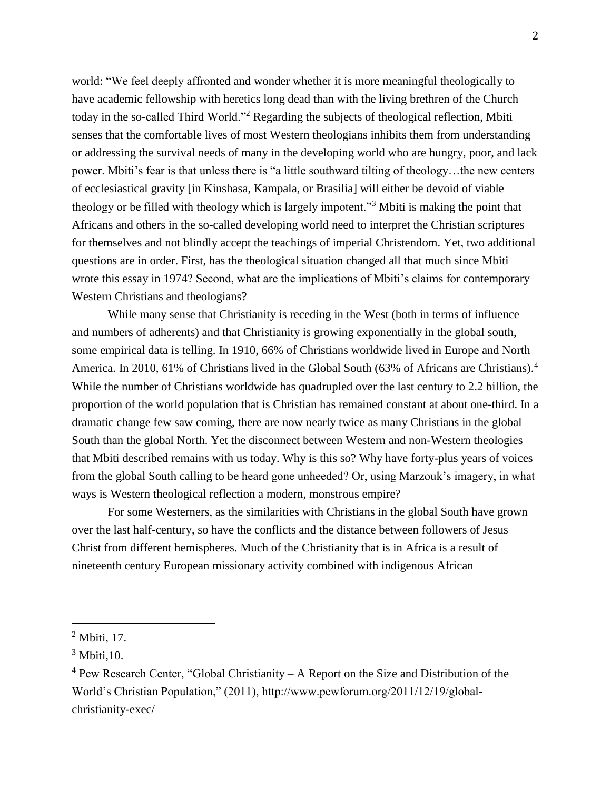world: "We feel deeply affronted and wonder whether it is more meaningful theologically to have academic fellowship with heretics long dead than with the living brethren of the Church today in the so-called Third World."<sup>2</sup> Regarding the subjects of theological reflection, Mbiti senses that the comfortable lives of most Western theologians inhibits them from understanding or addressing the survival needs of many in the developing world who are hungry, poor, and lack power. Mbiti's fear is that unless there is "a little southward tilting of theology…the new centers of ecclesiastical gravity [in Kinshasa, Kampala, or Brasilia] will either be devoid of viable theology or be filled with theology which is largely impotent."<sup>3</sup> Mbiti is making the point that Africans and others in the so-called developing world need to interpret the Christian scriptures for themselves and not blindly accept the teachings of imperial Christendom. Yet, two additional questions are in order. First, has the theological situation changed all that much since Mbiti wrote this essay in 1974? Second, what are the implications of Mbiti's claims for contemporary Western Christians and theologians?

While many sense that Christianity is receding in the West (both in terms of influence and numbers of adherents) and that Christianity is growing exponentially in the global south, some empirical data is telling. In 1910, 66% of Christians worldwide lived in Europe and North America. In 2010, 61% of Christians lived in the Global South (63% of Africans are Christians).<sup>4</sup> While the number of Christians worldwide has quadrupled over the last century to 2.2 billion, the proportion of the world population that is Christian has remained constant at about one-third. In a dramatic change few saw coming, there are now nearly twice as many Christians in the global South than the global North. Yet the disconnect between Western and non-Western theologies that Mbiti described remains with us today. Why is this so? Why have forty-plus years of voices from the global South calling to be heard gone unheeded? Or, using Marzouk's imagery, in what ways is Western theological reflection a modern, monstrous empire?

For some Westerners, as the similarities with Christians in the global South have grown over the last half-century, so have the conflicts and the distance between followers of Jesus Christ from different hemispheres. Much of the Christianity that is in Africa is a result of nineteenth century European missionary activity combined with indigenous African

<sup>&</sup>lt;sup>2</sup> Mbiti, 17.

 $3$  Mbiti, 10.

 $4$  Pew Research Center, "Global Christianity – A Report on the Size and Distribution of the World's Christian Population," (2011), http://www.pewforum.org/2011/12/19/globalchristianity-exec/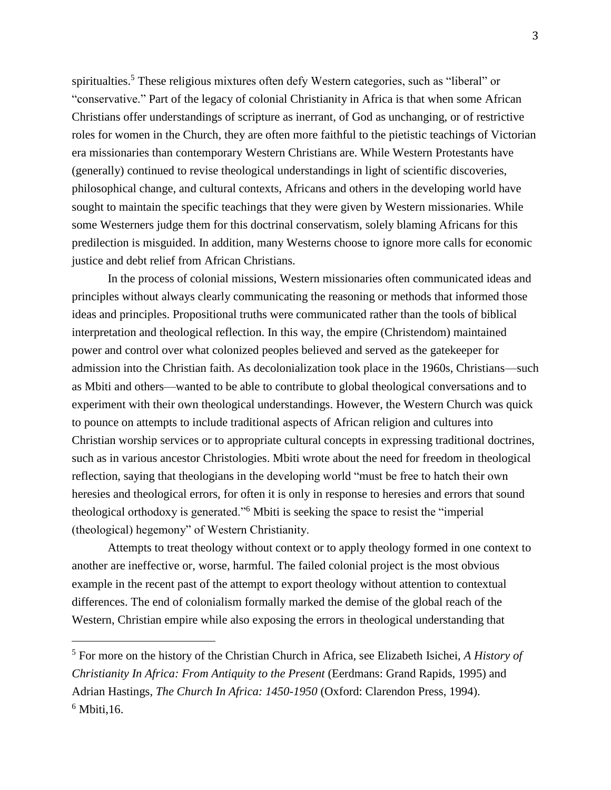spiritualties.<sup>5</sup> These religious mixtures often defy Western categories, such as "liberal" or "conservative." Part of the legacy of colonial Christianity in Africa is that when some African Christians offer understandings of scripture as inerrant, of God as unchanging, or of restrictive roles for women in the Church, they are often more faithful to the pietistic teachings of Victorian era missionaries than contemporary Western Christians are. While Western Protestants have (generally) continued to revise theological understandings in light of scientific discoveries, philosophical change, and cultural contexts, Africans and others in the developing world have sought to maintain the specific teachings that they were given by Western missionaries. While some Westerners judge them for this doctrinal conservatism, solely blaming Africans for this predilection is misguided. In addition, many Westerns choose to ignore more calls for economic justice and debt relief from African Christians.

In the process of colonial missions, Western missionaries often communicated ideas and principles without always clearly communicating the reasoning or methods that informed those ideas and principles. Propositional truths were communicated rather than the tools of biblical interpretation and theological reflection. In this way, the empire (Christendom) maintained power and control over what colonized peoples believed and served as the gatekeeper for admission into the Christian faith. As decolonialization took place in the 1960s, Christians—such as Mbiti and others—wanted to be able to contribute to global theological conversations and to experiment with their own theological understandings. However, the Western Church was quick to pounce on attempts to include traditional aspects of African religion and cultures into Christian worship services or to appropriate cultural concepts in expressing traditional doctrines, such as in various ancestor Christologies. Mbiti wrote about the need for freedom in theological reflection, saying that theologians in the developing world "must be free to hatch their own heresies and theological errors, for often it is only in response to heresies and errors that sound theological orthodoxy is generated."<sup>6</sup> Mbiti is seeking the space to resist the "imperial (theological) hegemony" of Western Christianity.

Attempts to treat theology without context or to apply theology formed in one context to another are ineffective or, worse, harmful. The failed colonial project is the most obvious example in the recent past of the attempt to export theology without attention to contextual differences. The end of colonialism formally marked the demise of the global reach of the Western, Christian empire while also exposing the errors in theological understanding that

<sup>5</sup> For more on the history of the Christian Church in Africa, see Elizabeth Isichei, *A History of Christianity In Africa: From Antiquity to the Present* (Eerdmans: Grand Rapids, 1995) and Adrian Hastings, *The Church In Africa: 1450-1950* (Oxford: Clarendon Press, 1994).  $6$  Mbiti, 16.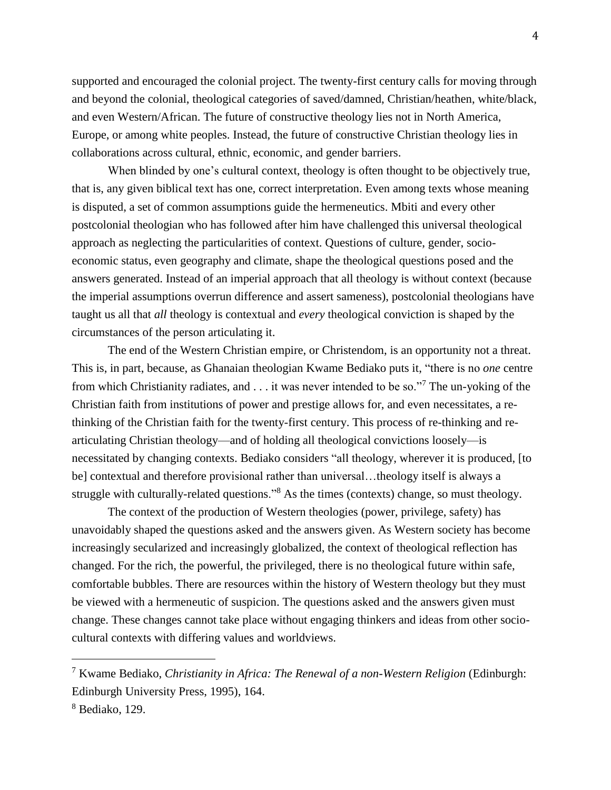supported and encouraged the colonial project. The twenty-first century calls for moving through and beyond the colonial, theological categories of saved/damned, Christian/heathen, white/black, and even Western/African. The future of constructive theology lies not in North America, Europe, or among white peoples. Instead, the future of constructive Christian theology lies in collaborations across cultural, ethnic, economic, and gender barriers.

When blinded by one's cultural context, theology is often thought to be objectively true, that is, any given biblical text has one, correct interpretation. Even among texts whose meaning is disputed, a set of common assumptions guide the hermeneutics. Mbiti and every other postcolonial theologian who has followed after him have challenged this universal theological approach as neglecting the particularities of context. Questions of culture, gender, socioeconomic status, even geography and climate, shape the theological questions posed and the answers generated. Instead of an imperial approach that all theology is without context (because the imperial assumptions overrun difference and assert sameness), postcolonial theologians have taught us all that *all* theology is contextual and *every* theological conviction is shaped by the circumstances of the person articulating it.

The end of the Western Christian empire, or Christendom, is an opportunity not a threat. This is, in part, because, as Ghanaian theologian Kwame Bediako puts it, "there is no *one* centre from which Christianity radiates, and . . . it was never intended to be so."<sup>7</sup> The un-yoking of the Christian faith from institutions of power and prestige allows for, and even necessitates, a rethinking of the Christian faith for the twenty-first century. This process of re-thinking and rearticulating Christian theology—and of holding all theological convictions loosely—is necessitated by changing contexts. Bediako considers "all theology, wherever it is produced, [to be] contextual and therefore provisional rather than universal...theology itself is always a struggle with culturally-related questions."<sup>8</sup> As the times (contexts) change, so must theology.

The context of the production of Western theologies (power, privilege, safety) has unavoidably shaped the questions asked and the answers given. As Western society has become increasingly secularized and increasingly globalized, the context of theological reflection has changed. For the rich, the powerful, the privileged, there is no theological future within safe, comfortable bubbles. There are resources within the history of Western theology but they must be viewed with a hermeneutic of suspicion. The questions asked and the answers given must change. These changes cannot take place without engaging thinkers and ideas from other sociocultural contexts with differing values and worldviews.

<sup>7</sup> Kwame Bediako, *Christianity in Africa: The Renewal of a non-Western Religion* (Edinburgh: Edinburgh University Press, 1995), 164.

<sup>8</sup> Bediako, 129.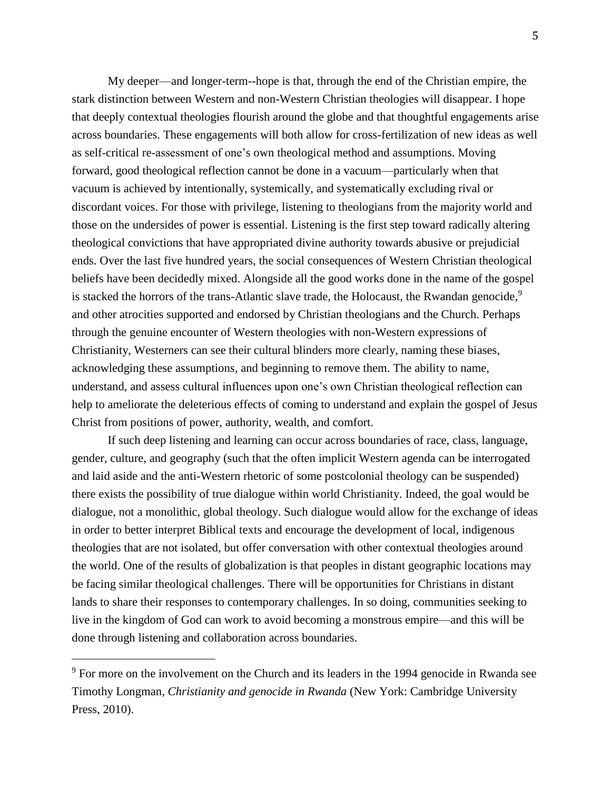My deeper—and longer-term--hope is that, through the end of the Christian empire, the stark distinction between Western and non-Western Christian theologies will disappear. I hope that deeply contextual theologies flourish around the globe and that thoughtful engagements arise across boundaries. These engagements will both allow for cross-fertilization of new ideas as well as self-critical re-assessment of one's own theological method and assumptions. Moving forward, good theological reflection cannot be done in a vacuum—particularly when that vacuum is achieved by intentionally, systemically, and systematically excluding rival or discordant voices. For those with privilege, listening to theologians from the majority world and those on the undersides of power is essential. Listening is the first step toward radically altering theological convictions that have appropriated divine authority towards abusive or prejudicial ends. Over the last five hundred years, the social consequences of Western Christian theological beliefs have been decidedly mixed. Alongside all the good works done in the name of the gospel is stacked the horrors of the trans-Atlantic slave trade, the Holocaust, the Rwandan genocide,<sup>9</sup> and other atrocities supported and endorsed by Christian theologians and the Church. Perhaps through the genuine encounter of Western theologies with non-Western expressions of Christianity, Westerners can see their cultural blinders more clearly, naming these biases, acknowledging these assumptions, and beginning to remove them. The ability to name, understand, and assess cultural influences upon one's own Christian theological reflection can help to ameliorate the deleterious effects of coming to understand and explain the gospel of Jesus Christ from positions of power, authority, wealth, and comfort.

If such deep listening and learning can occur across boundaries of race, class, language, gender, culture, and geography (such that the often implicit Western agenda can be interrogated and laid aside and the anti-Western rhetoric of some postcolonial theology can be suspended) there exists the possibility of true dialogue within world Christianity. Indeed, the goal would be dialogue, not a monolithic, global theology. Such dialogue would allow for the exchange of ideas in order to better interpret Biblical texts and encourage the development of local, indigenous theologies that are not isolated, but offer conversation with other contextual theologies around the world. One of the results of globalization is that peoples in distant geographic locations may be facing similar theological challenges. There will be opportunities for Christians in distant lands to share their responses to contemporary challenges. In so doing, communities seeking to live in the kingdom of God can work to avoid becoming a monstrous empire—and this will be done through listening and collaboration across boundaries.

<sup>&</sup>lt;sup>9</sup> For more on the involvement on the Church and its leaders in the 1994 genocide in Rwanda see Timothy Longman, *Christianity and genocide in Rwanda* (New York: Cambridge University Press, 2010).